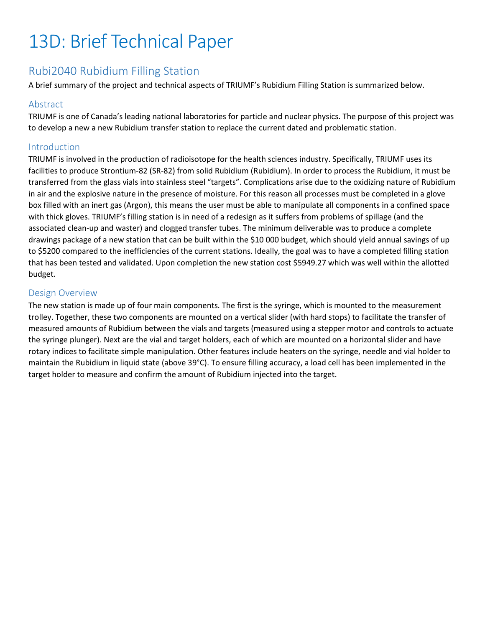# 13D: Brief Technical Paper

## Rubi2040 Rubidium Filling Station

A brief summary of the project and technical aspects of TRIUMF's Rubidium Filling Station is summarized below.

#### Abstract

TRIUMF is one of Canada's leading national laboratories for particle and nuclear physics. The purpose of this project was to develop a new a new Rubidium transfer station to replace the current dated and problematic station.

#### Introduction

TRIUMF is involved in the production of radioisotope for the health sciences industry. Specifically, TRIUMF uses its facilities to produce Strontium-82 (SR-82) from solid Rubidium (Rubidium). In order to process the Rubidium, it must be transferred from the glass vials into stainless steel "targets". Complications arise due to the oxidizing nature of Rubidium in air and the explosive nature in the presence of moisture. For this reason all processes must be completed in a glove box filled with an inert gas (Argon), this means the user must be able to manipulate all components in a confined space with thick gloves. TRIUMF's filling station is in need of a redesign as it suffers from problems of spillage (and the associated clean-up and waster) and clogged transfer tubes. The minimum deliverable was to produce a complete drawings package of a new station that can be built within the \$10 000 budget, which should yield annual savings of up to \$5200 compared to the inefficiencies of the current stations. Ideally, the goal was to have a completed filling station that has been tested and validated. Upon completion the new station cost \$5949.27 which was well within the allotted budget.

#### Design Overview

The new station is made up of four main components. The first is the syringe, which is mounted to the measurement trolley. Together, these two components are mounted on a vertical slider (with hard stops) to facilitate the transfer of measured amounts of Rubidium between the vials and targets (measured using a stepper motor and controls to actuate the syringe plunger). Next are the vial and target holders, each of which are mounted on a horizontal slider and have rotary indices to facilitate simple manipulation. Other features include heaters on the syringe, needle and vial holder to maintain the Rubidium in liquid state (above 39°C). To ensure filling accuracy, a load cell has been implemented in the target holder to measure and confirm the amount of Rubidium injected into the target.